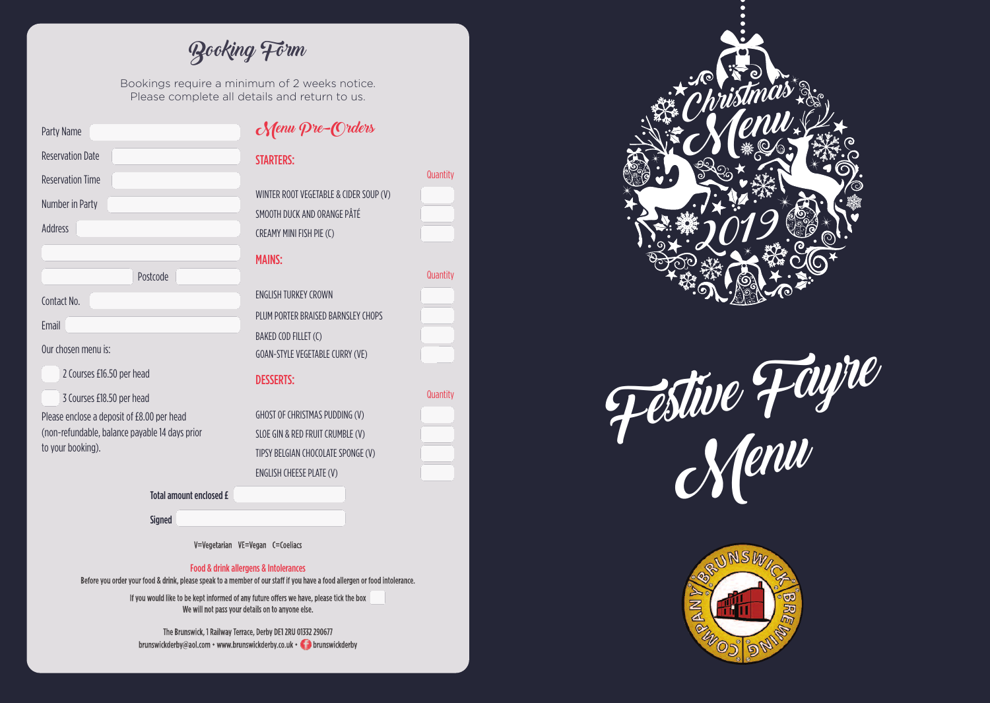Booking Form

Bookings require a minimum of 2 weeks notice. Please complete all details and return to us.

> ntity i

> ntity i

> ntity

| Party Name                                     | Menu Pre-Orders                        |     |
|------------------------------------------------|----------------------------------------|-----|
| <b>Reservation Date</b>                        | <b>STARTERS:</b>                       |     |
| <b>Reservation Time</b>                        |                                        | Qua |
| Number in Party                                | WINTER ROOT VEGETABLE & CIDER SOUP (V) |     |
|                                                | SMOOTH DUCK AND ORANGE PÂTÉ            |     |
| <b>Address</b>                                 | <b>CREAMY MINI FISH PIE (C)</b>        |     |
|                                                | <b>MAINS:</b>                          |     |
| Postcode                                       |                                        | Qua |
| Contact No.                                    | <b>ENGLISH TURKEY CROWN</b>            |     |
|                                                | PLUM PORTER BRAISED BARNSLEY CHOPS     |     |
| <b>Email</b>                                   | BAKED COD FILLET (C)                   |     |
| Our chosen menu is:                            | GOAN-STYLE VEGETABLE CURRY (VE)        |     |
| 2 Courses £16.50 per head                      | <b>DESSERTS:</b>                       |     |
| 3 Courses £18.50 per head                      |                                        | Qua |
| Please enclose a deposit of £8.00 per head     | GHOST OF CHRISTMAS PUDDING (V)         |     |
| (non-refundable, balance payable 14 days prior | SLOE GIN & RED FRUIT CRUMBLE (V)       |     |
| to your booking).                              | TIPSY BELGIAN CHOCOLATE SPONGE (V)     |     |
|                                                | ENGLISH CHEESE PLATE (V)               |     |
| <b>Total amount enclosed £</b>                 |                                        |     |
| <b>Signed</b>                                  |                                        |     |
|                                                |                                        |     |

V=Vegetarian VE=Vegan C=Coeliacs

#### Food & drink allergens & Intolerances i l l I l

Before you order your food & drink, please speak to a member of our staff if you have a food allergen or food intolerance.

If you would like to be kept informed of any future offers we have, please tick the box We will not pass your details on to anyone else.

The Brunswick, 1 Railway Terrace, Derby DE1 2RU 01332 290677 brunswickderby@aol.com • www.brunswickderby.co.uk • brunswickderby